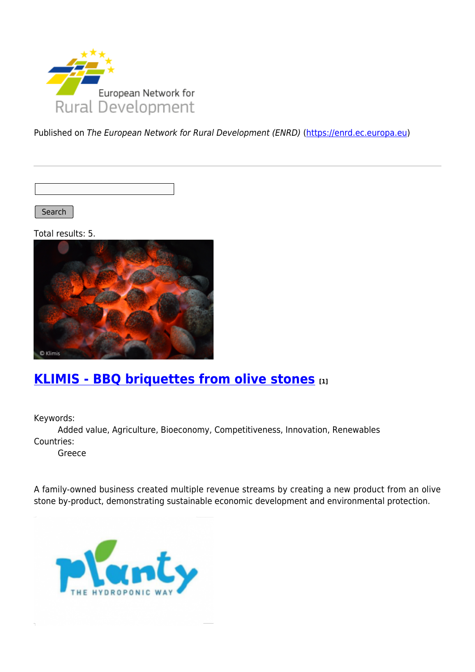

Published on The European Network for Rural Development (ENRD) [\(https://enrd.ec.europa.eu](https://enrd.ec.europa.eu))

Search

Total results: 5.



## **[KLIMIS - BBQ briquettes from olive stones](https://enrd.ec.europa.eu/projects-practice/klimis-bbq-briquettes-olive-stones_en) [1]**

Keywords:

Added value, Agriculture, Bioeconomy, Competitiveness, Innovation, Renewables Countries:

Greece

A family-owned business created multiple revenue streams by creating a new product from an olive stone by-product, demonstrating sustainable economic development and environmental protection.

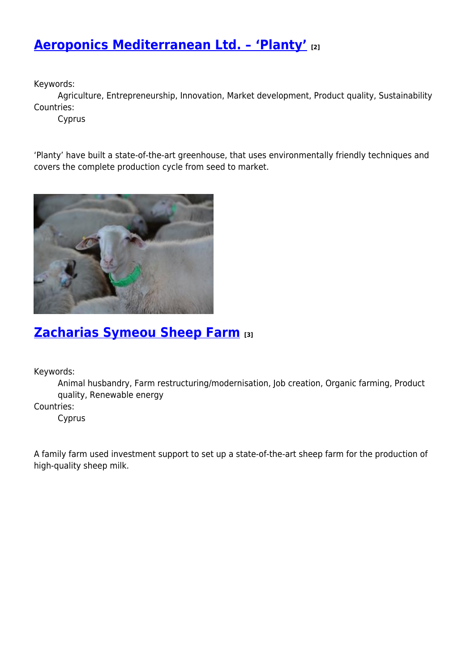## **[Aeroponics Mediterranean Ltd. – 'Planty'](https://enrd.ec.europa.eu/projects-practice/aeroponics-mediterranean-ltd-planty_en) [2]**

Keywords:

Agriculture, Entrepreneurship, Innovation, Market development, Product quality, Sustainability Countries:

Cyprus

'Planty' have built a state-of-the-art greenhouse, that uses environmentally friendly techniques and covers the complete production cycle from seed to market.



## **[Zacharias Symeou Sheep Farm](https://enrd.ec.europa.eu/projects-practice/zacharias-symeou-sheep-farm_en) [3]**

Keywords:

Animal husbandry, Farm restructuring/modernisation, Job creation, Organic farming, Product quality, Renewable energy

Countries:

Cyprus

A family farm used investment support to set up a state-of-the-art sheep farm for the production of high-quality sheep milk.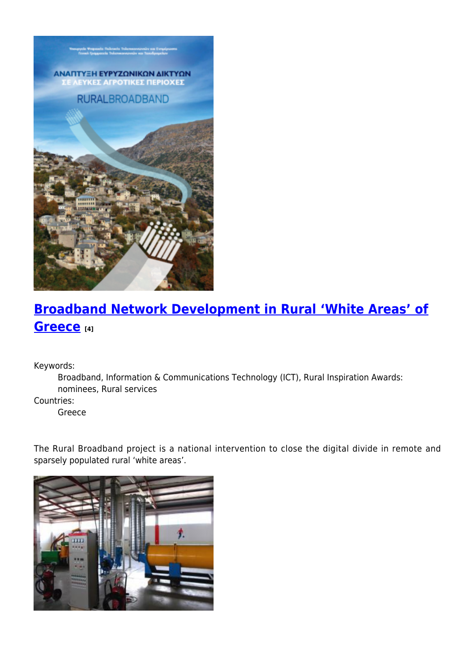

# **[Broadband Network Development in Rural 'White Areas' of](https://enrd.ec.europa.eu/projects-practice/broadband-network-development-rural-white-areas-greece_en) [Greece](https://enrd.ec.europa.eu/projects-practice/broadband-network-development-rural-white-areas-greece_en) [4]**

Keywords:

Broadband, Information & Communications Technology (ICT), Rural Inspiration Awards: nominees, Rural services

Countries:

Greece

The Rural Broadband project is a national intervention to close the digital divide in remote and sparsely populated rural 'white areas'.